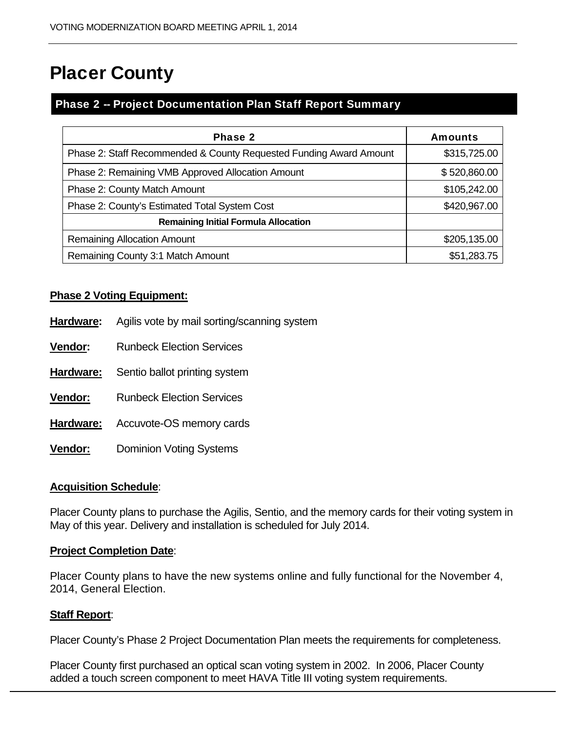# Placer County

## Phase 2 -- Project Documentation Plan Staff Report Summary

| Phase 2                                                            | <b>Amounts</b> |
|--------------------------------------------------------------------|----------------|
| Phase 2: Staff Recommended & County Requested Funding Award Amount | \$315,725.00   |
| Phase 2: Remaining VMB Approved Allocation Amount                  | \$520,860.00   |
| Phase 2: County Match Amount                                       | \$105,242.00   |
| Phase 2: County's Estimated Total System Cost                      | \$420,967.00   |
| <b>Remaining Initial Formula Allocation</b>                        |                |
| <b>Remaining Allocation Amount</b>                                 | \$205,135.00   |
| Remaining County 3:1 Match Amount                                  | \$51,283.75    |

## **Phase 2 Voting Equipment:**

- **Hardware:** Agilis vote by mail sorting/scanning system
- **Vendor:** Runbeck Election Services
- **Hardware:** Sentio ballot printing system
- **Vendor:** Runbeck Election Services
- **Hardware:** Accuvote-OS memory cards
- **Vendor:** Dominion Voting Systems

#### **Acquisition Schedule**:

Placer County plans to purchase the Agilis, Sentio, and the memory cards for their voting system in May of this year. Delivery and installation is scheduled for July 2014.

#### **Project Completion Date**:

Placer County plans to have the new systems online and fully functional for the November 4, 2014, General Election.

#### **Staff Report**:

Placer County's Phase 2 Project Documentation Plan meets the requirements for completeness.

Placer County first purchased an optical scan voting system in 2002. In 2006, Placer County added a touch screen component to meet HAVA Title III voting system requirements.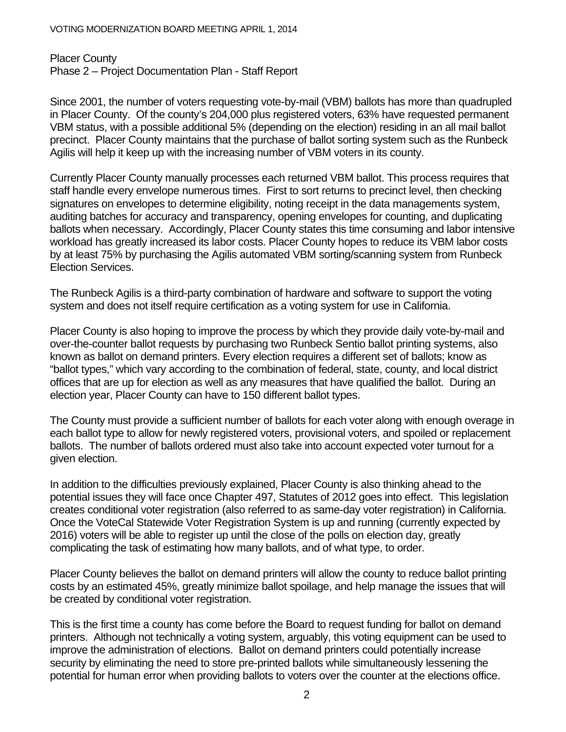Placer County Phase 2 – Project Documentation Plan - Staff Report

Since 2001, the number of voters requesting vote-by-mail (VBM) ballots has more than quadrupled in Placer County. Of the county's 204,000 plus registered voters, 63% have requested permanent VBM status, with a possible additional 5% (depending on the election) residing in an all mail ballot precinct. Placer County maintains that the purchase of ballot sorting system such as the Runbeck Agilis will help it keep up with the increasing number of VBM voters in its county.

Currently Placer County manually processes each returned VBM ballot. This process requires that staff handle every envelope numerous times. First to sort returns to precinct level, then checking signatures on envelopes to determine eligibility, noting receipt in the data managements system, auditing batches for accuracy and transparency, opening envelopes for counting, and duplicating ballots when necessary. Accordingly, Placer County states this time consuming and labor intensive workload has greatly increased its labor costs. Placer County hopes to reduce its VBM labor costs by at least 75% by purchasing the Agilis automated VBM sorting/scanning system from Runbeck Election Services.

The Runbeck Agilis is a third-party combination of hardware and software to support the voting system and does not itself require certification as a voting system for use in California.

Placer County is also hoping to improve the process by which they provide daily vote-by-mail and over-the-counter ballot requests by purchasing two Runbeck Sentio ballot printing systems, also known as ballot on demand printers. Every election requires a different set of ballots; know as "ballot types," which vary according to the combination of federal, state, county, and local district offices that are up for election as well as any measures that have qualified the ballot. During an election year, Placer County can have to 150 different ballot types.

The County must provide a sufficient number of ballots for each voter along with enough overage in each ballot type to allow for newly registered voters, provisional voters, and spoiled or replacement ballots. The number of ballots ordered must also take into account expected voter turnout for a given election.

In addition to the difficulties previously explained, Placer County is also thinking ahead to the potential issues they will face once Chapter 497, Statutes of 2012 goes into effect. This legislation creates conditional voter registration (also referred to as same-day voter registration) in California. Once the VoteCal Statewide Voter Registration System is up and running (currently expected by 2016) voters will be able to register up until the close of the polls on election day, greatly complicating the task of estimating how many ballots, and of what type, to order.

Placer County believes the ballot on demand printers will allow the county to reduce ballot printing costs by an estimated 45%, greatly minimize ballot spoilage, and help manage the issues that will be created by conditional voter registration.

This is the first time a county has come before the Board to request funding for ballot on demand printers. Although not technically a voting system, arguably, this voting equipment can be used to improve the administration of elections. Ballot on demand printers could potentially increase security by eliminating the need to store pre-printed ballots while simultaneously lessening the potential for human error when providing ballots to voters over the counter at the elections office.